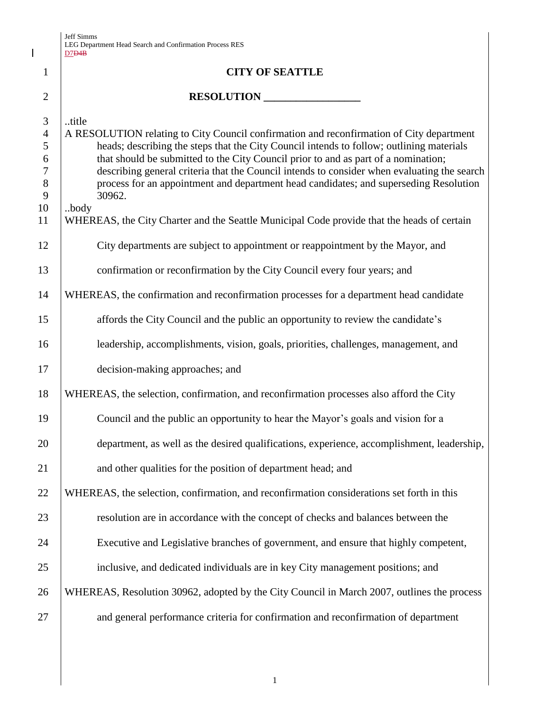$\mathbf I$ 

|                                                               | <del>ער ע</del> ו                                                                                                                                                                                                                                                                                                                                                                                                                                                                             |
|---------------------------------------------------------------|-----------------------------------------------------------------------------------------------------------------------------------------------------------------------------------------------------------------------------------------------------------------------------------------------------------------------------------------------------------------------------------------------------------------------------------------------------------------------------------------------|
| $\mathbf{1}$                                                  | <b>CITY OF SEATTLE</b>                                                                                                                                                                                                                                                                                                                                                                                                                                                                        |
| $\overline{2}$                                                | RESOLUTION                                                                                                                                                                                                                                                                                                                                                                                                                                                                                    |
| 3<br>$\overline{4}$<br>5<br>6<br>$\tau$<br>8<br>9<br>10<br>11 | title<br>A RESOLUTION relating to City Council confirmation and reconfirmation of City department<br>heads; describing the steps that the City Council intends to follow; outlining materials<br>that should be submitted to the City Council prior to and as part of a nomination;<br>describing general criteria that the Council intends to consider when evaluating the search<br>process for an appointment and department head candidates; and superseding Resolution<br>30962.<br>body |
|                                                               | WHEREAS, the City Charter and the Seattle Municipal Code provide that the heads of certain                                                                                                                                                                                                                                                                                                                                                                                                    |
| 12                                                            | City departments are subject to appointment or reappointment by the Mayor, and                                                                                                                                                                                                                                                                                                                                                                                                                |
| 13                                                            | confirmation or reconfirmation by the City Council every four years; and                                                                                                                                                                                                                                                                                                                                                                                                                      |
| 14                                                            | WHEREAS, the confirmation and reconfirmation processes for a department head candidate                                                                                                                                                                                                                                                                                                                                                                                                        |
| 15                                                            | affords the City Council and the public an opportunity to review the candidate's                                                                                                                                                                                                                                                                                                                                                                                                              |
| 16                                                            | leadership, accomplishments, vision, goals, priorities, challenges, management, and                                                                                                                                                                                                                                                                                                                                                                                                           |
| 17                                                            | decision-making approaches; and                                                                                                                                                                                                                                                                                                                                                                                                                                                               |
| 18                                                            | WHEREAS, the selection, confirmation, and reconfirmation processes also afford the City                                                                                                                                                                                                                                                                                                                                                                                                       |
| 19                                                            | Council and the public an opportunity to hear the Mayor's goals and vision for a                                                                                                                                                                                                                                                                                                                                                                                                              |
| 20                                                            | department, as well as the desired qualifications, experience, accomplishment, leadership,                                                                                                                                                                                                                                                                                                                                                                                                    |
| 21                                                            | and other qualities for the position of department head; and                                                                                                                                                                                                                                                                                                                                                                                                                                  |
| 22                                                            | WHEREAS, the selection, confirmation, and reconfirmation considerations set forth in this                                                                                                                                                                                                                                                                                                                                                                                                     |
| 23                                                            | resolution are in accordance with the concept of checks and balances between the                                                                                                                                                                                                                                                                                                                                                                                                              |
| 24                                                            | Executive and Legislative branches of government, and ensure that highly competent,                                                                                                                                                                                                                                                                                                                                                                                                           |
| 25                                                            | inclusive, and dedicated individuals are in key City management positions; and                                                                                                                                                                                                                                                                                                                                                                                                                |
| 26                                                            | WHEREAS, Resolution 30962, adopted by the City Council in March 2007, outlines the process                                                                                                                                                                                                                                                                                                                                                                                                    |
| 27                                                            | and general performance criteria for confirmation and reconfirmation of department                                                                                                                                                                                                                                                                                                                                                                                                            |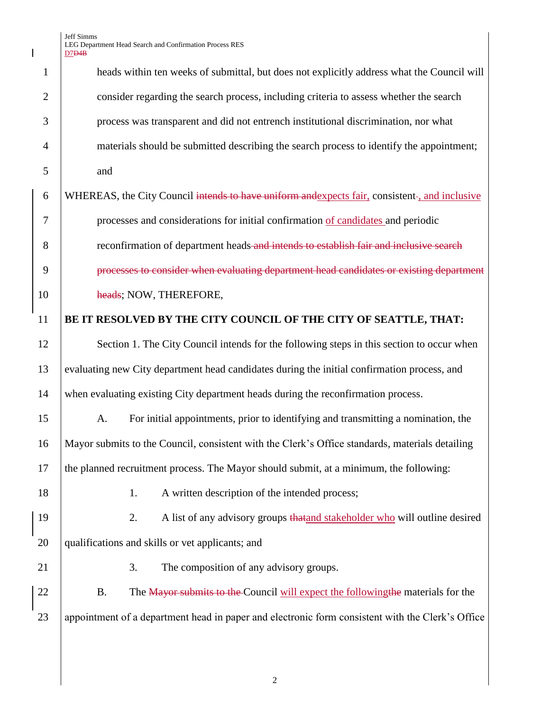Jeff Simms LEG Department Head Search and Confirmation Process RES D7D4B

 $\begin{array}{c} \hline \end{array}$ 

| $\mathbf{1}$   | heads within ten weeks of submittal, but does not explicitly address what the Council will       |
|----------------|--------------------------------------------------------------------------------------------------|
| $\overline{2}$ | consider regarding the search process, including criteria to assess whether the search           |
| 3              | process was transparent and did not entrench institutional discrimination, nor what              |
| $\overline{4}$ | materials should be submitted describing the search process to identify the appointment;         |
| 5              | and                                                                                              |
| 6              | WHEREAS, the City Council intends to have uniform and expects fair, consistent-, and inclusive   |
| 7              | processes and considerations for initial confirmation of candidates and periodic                 |
| 8              | reconfirmation of department heads and intends to establish fair and inclusive search            |
| 9              | processes to consider when evaluating department head candidates or existing department          |
| 10             | heads; NOW, THEREFORE,                                                                           |
| 11             | BE IT RESOLVED BY THE CITY COUNCIL OF THE CITY OF SEATTLE, THAT:                                 |
| 12             | Section 1. The City Council intends for the following steps in this section to occur when        |
| 13             | evaluating new City department head candidates during the initial confirmation process, and      |
| 14             | when evaluating existing City department heads during the reconfirmation process.                |
| 15             | For initial appointments, prior to identifying and transmitting a nomination, the<br>A.          |
| 16             | Mayor submits to the Council, consistent with the Clerk's Office standards, materials detailing  |
| 17             | the planned recruitment process. The Mayor should submit, at a minimum, the following:           |
| 18             | A written description of the intended process;<br>1.                                             |
| 19             | A list of any advisory groups that and stakeholder who will outline desired<br>2.                |
| 20             | qualifications and skills or vet applicants; and                                                 |
| 21             | 3.<br>The composition of any advisory groups.                                                    |
| 22             | The Mayor submits to the Council will expect the following the materials for the<br><b>B.</b>    |
| 23             | appointment of a department head in paper and electronic form consistent with the Clerk's Office |
|                |                                                                                                  |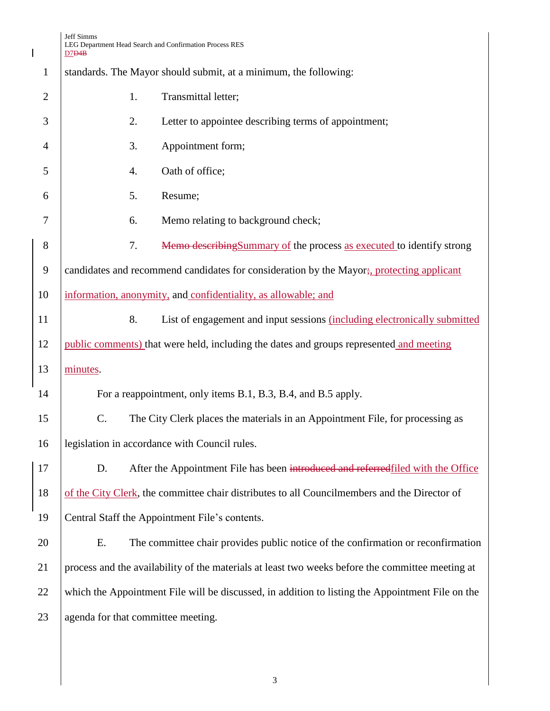|                | Jeff Simms<br>LEG Department Head Search and Confirmation Process RES<br>D7D4B                   |
|----------------|--------------------------------------------------------------------------------------------------|
| $\mathbf{1}$   | standards. The Mayor should submit, at a minimum, the following:                                 |
| $\overline{2}$ | Transmittal letter;<br>1.                                                                        |
| 3              | 2.<br>Letter to appointee describing terms of appointment;                                       |
| 4              | Appointment form;<br>3.                                                                          |
| 5              | Oath of office;<br>4.                                                                            |
| 6              | Resume;<br>5.                                                                                    |
| 7              | Memo relating to background check;<br>6.                                                         |
| 8              | Memo describing Summary of the process as executed to identify strong<br>7.                      |
| 9              | candidates and recommend candidates for consideration by the Mayor; protecting applicant         |
| 10             | information, anonymity, and confidentiality, as allowable; and                                   |
| 11             | 8.<br>List of engagement and input sessions (including electronically submitted                  |
| 12             | public comments) that were held, including the dates and groups represented and meeting          |
| 13             | minutes.                                                                                         |
| 14             | For a reappointment, only items B.1, B.3, B.4, and B.5 apply.                                    |
| 15             | The City Clerk places the materials in an Appointment File, for processing as<br>$\mathbf C.$    |
| 16             | legislation in accordance with Council rules.                                                    |
| 17             | After the Appointment File has been introduced and referred filed with the Office<br>D.          |
| 18             | of the City Clerk, the committee chair distributes to all Councilmembers and the Director of     |
| 19             | Central Staff the Appointment File's contents.                                                   |
| 20             | The committee chair provides public notice of the confirmation or reconfirmation<br>E.           |
| 21             | process and the availability of the materials at least two weeks before the committee meeting at |
| 22             | which the Appointment File will be discussed, in addition to listing the Appointment File on the |

23 agenda for that committee meeting.

 $\mathsf I$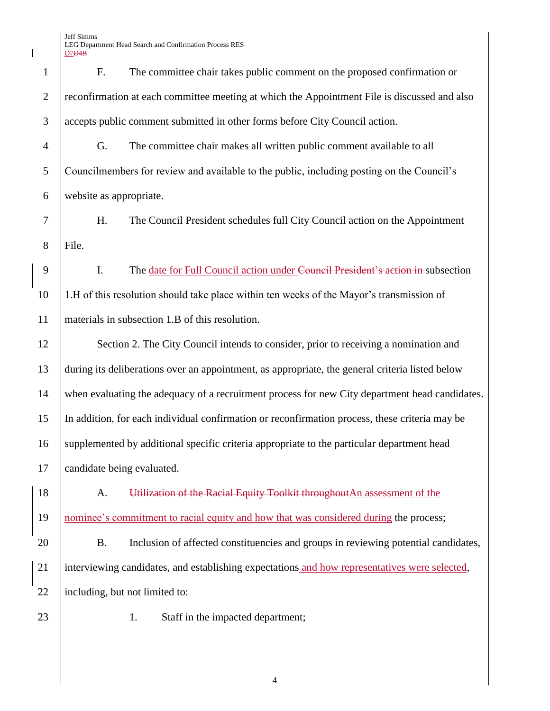F. The committee chair takes public comment on the proposed confirmation or 2 reconfirmation at each committee meeting at which the Appointment File is discussed and also accepts public comment submitted in other forms before City Council action. G. The committee chair makes all written public comment available to all Councilmembers for review and available to the public, including posting on the Council's website as appropriate. H. The Council President schedules full City Council action on the Appointment 8 File. 9 I. The date for Full Council action under Council President's action in subsection 1.H of this resolution should take place within ten weeks of the Mayor's transmission of materials in subsection 1.B of this resolution. 12 Section 2. The City Council intends to consider, prior to receiving a nomination and during its deliberations over an appointment, as appropriate, the general criteria listed below when evaluating the adequacy of a recruitment process for new City department head candidates. In addition, for each individual confirmation or reconfirmation process, these criteria may be 16 Supplemented by additional specific criteria appropriate to the particular department head candidate being evaluated. 18 | A. Utilization of the Racial Equity Toolkit throughout An assessment of the 19 | nominee's commitment to racial equity and how that was considered during the process; B. Inclusion of affected constituencies and groups in reviewing potential candidates, interviewing candidates, and establishing expectations and how representatives were selected, 22 | including, but not limited to: 23 1. Staff in the impacted department;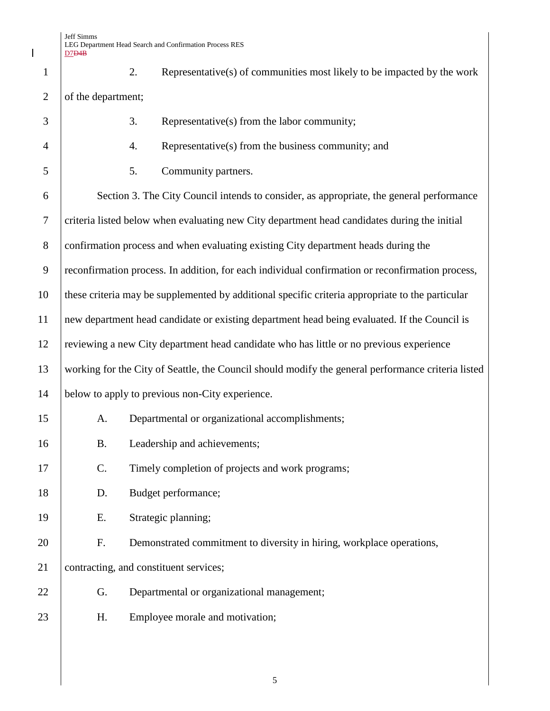$\overline{\phantom{a}}$ 

| $\mathbf{1}$   | 2.                 | Representative(s) of communities most likely to be impacted by the work                            |
|----------------|--------------------|----------------------------------------------------------------------------------------------------|
| $\overline{2}$ | of the department; |                                                                                                    |
| 3              | 3.                 | Representative(s) from the labor community;                                                        |
| $\overline{4}$ | 4.                 | Representative(s) from the business community; and                                                 |
| 5              | 5.                 | Community partners.                                                                                |
| 6              |                    | Section 3. The City Council intends to consider, as appropriate, the general performance           |
| $\tau$         |                    | criteria listed below when evaluating new City department head candidates during the initial       |
| $8\,$          |                    | confirmation process and when evaluating existing City department heads during the                 |
| 9              |                    | reconfirmation process. In addition, for each individual confirmation or reconfirmation process,   |
| 10             |                    | these criteria may be supplemented by additional specific criteria appropriate to the particular   |
| 11             |                    | new department head candidate or existing department head being evaluated. If the Council is       |
| 12             |                    | reviewing a new City department head candidate who has little or no previous experience            |
| 13             |                    | working for the City of Seattle, the Council should modify the general performance criteria listed |
| 14             |                    | below to apply to previous non-City experience.                                                    |
| 15             | A.                 | Departmental or organizational accomplishments;                                                    |
| 16             | <b>B.</b>          | Leadership and achievements;                                                                       |
| 17             | C.                 | Timely completion of projects and work programs;                                                   |
| 18             | D.                 | Budget performance;                                                                                |
| 19             | Ε.                 | Strategic planning;                                                                                |
| 20             | F.                 | Demonstrated commitment to diversity in hiring, workplace operations,                              |
| 21             |                    | contracting, and constituent services;                                                             |
| 22             | G.                 | Departmental or organizational management;                                                         |
| 23             | H.                 | Employee morale and motivation;                                                                    |
|                |                    |                                                                                                    |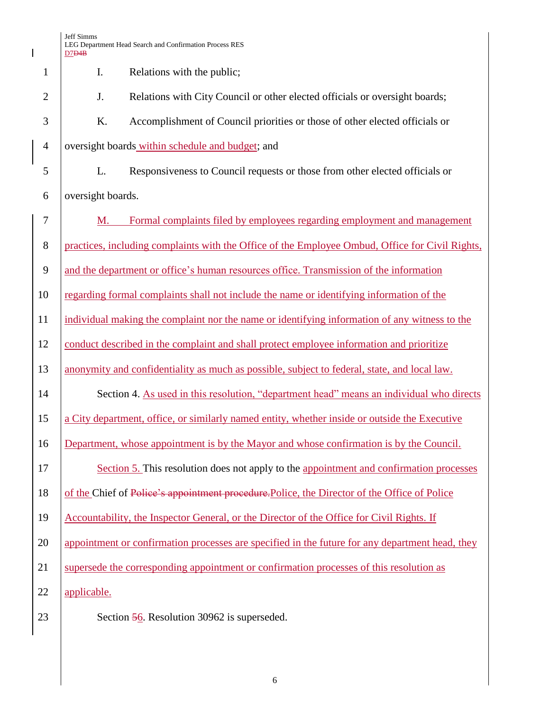|                | Jeff Simms<br>LEG Department Head Search and Confirmation Process RES<br>D7D4B                  |
|----------------|-------------------------------------------------------------------------------------------------|
| 1              | I.<br>Relations with the public;                                                                |
| $\overline{2}$ | J.<br>Relations with City Council or other elected officials or oversight boards;               |
| 3              | K.<br>Accomplishment of Council priorities or those of other elected officials or               |
| $\overline{4}$ | oversight boards within schedule and budget; and                                                |
| 5              | L.<br>Responsiveness to Council requests or those from other elected officials or               |
| 6              | oversight boards.                                                                               |
| 7              | Formal complaints filed by employees regarding employment and management<br>M.                  |
| 8              | practices, including complaints with the Office of the Employee Ombud, Office for Civil Rights, |
| 9              | and the department or office's human resources office. Transmission of the information          |
| 10             | regarding formal complaints shall not include the name or identifying information of the        |
| 11             | individual making the complaint nor the name or identifying information of any witness to the   |
| 12             | conduct described in the complaint and shall protect employee information and prioritize        |
| 13             | anonymity and confidentiality as much as possible, subject to federal, state, and local law.    |
| 14             | Section 4. As used in this resolution, "department head" means an individual who directs        |
| 15             | a City department, office, or similarly named entity, whether inside or outside the Executive   |
| 16             | Department, whose appointment is by the Mayor and whose confirmation is by the Council.         |
| 17             | Section 5. This resolution does not apply to the appointment and confirmation processes         |
| 18             | of the Chief of Police's appointment procedure. Police, the Director of the Office of Police    |
| 19             | Accountability, the Inspector General, or the Director of the Office for Civil Rights. If       |
| 20             | appointment or confirmation processes are specified in the future for any department head, they |
| 21             | supersede the corresponding appointment or confirmation processes of this resolution as         |
| 22             | applicable.                                                                                     |
| 23             | Section 56. Resolution 30962 is superseded.                                                     |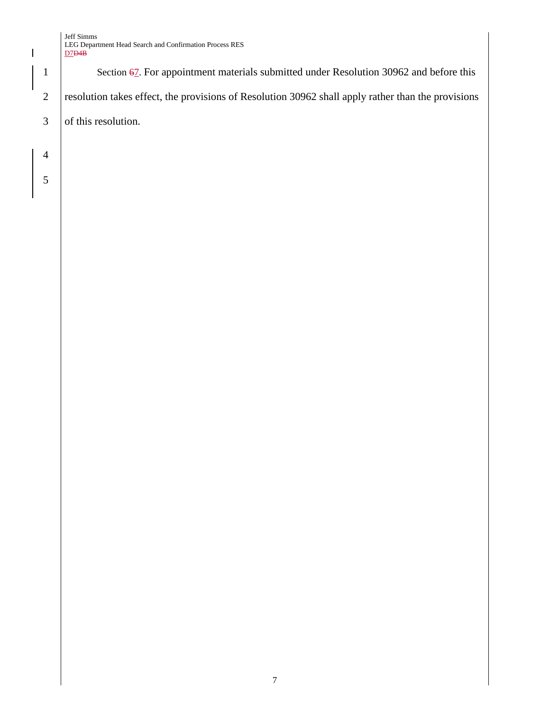## Jeff Simms LEG Department Head Search and Confirmation Process RES D7D4B

1 Section 67. For appointment materials submitted under Resolution 30962 and before this 2 resolution takes effect, the provisions of Resolution 30962 shall apply rather than the provisions  $3$  of this resolution.